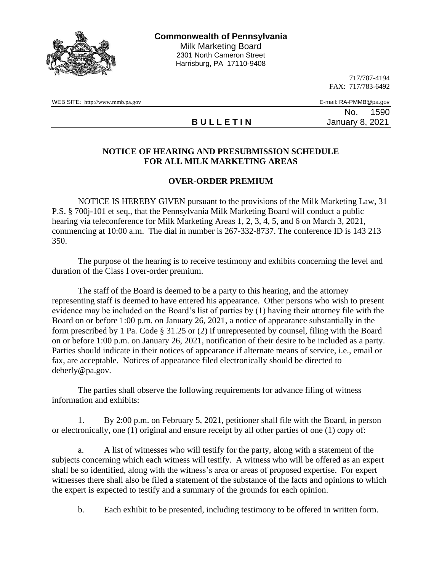

717/787-4194 FAX: 717/783-6492

WEB SITE: http://www.mmb.pa.gov E-mail: RA-PMMB@pa.gov

**B U L L E T I N** January 8, 2021

No. 1590

## **NOTICE OF HEARING AND PRESUBMISSION SCHEDULE FOR ALL MILK MARKETING AREAS**

## **OVER-ORDER PREMIUM**

NOTICE IS HEREBY GIVEN pursuant to the provisions of the Milk Marketing Law, 31 P.S. § 700j-101 et seq., that the Pennsylvania Milk Marketing Board will conduct a public hearing via teleconference for Milk Marketing Areas 1, 2, 3, 4, 5, and 6 on March 3, 2021, commencing at 10:00 a.m. The dial in number is 267-332-8737. The conference ID is 143 213 350.

The purpose of the hearing is to receive testimony and exhibits concerning the level and duration of the Class I over-order premium.

The staff of the Board is deemed to be a party to this hearing, and the attorney representing staff is deemed to have entered his appearance. Other persons who wish to present evidence may be included on the Board's list of parties by (1) having their attorney file with the Board on or before 1:00 p.m. on January 26, 2021, a notice of appearance substantially in the form prescribed by 1 Pa. Code § 31.25 or (2) if unrepresented by counsel, filing with the Board on or before 1:00 p.m. on January 26, 2021, notification of their desire to be included as a party. Parties should indicate in their notices of appearance if alternate means of service, i.e., email or fax, are acceptable. Notices of appearance filed electronically should be directed to deberly@pa.gov.

The parties shall observe the following requirements for advance filing of witness information and exhibits:

1. By 2:00 p.m. on February 5, 2021, petitioner shall file with the Board, in person or electronically, one (1) original and ensure receipt by all other parties of one (1) copy of:

a. A list of witnesses who will testify for the party, along with a statement of the subjects concerning which each witness will testify. A witness who will be offered as an expert shall be so identified, along with the witness's area or areas of proposed expertise. For expert witnesses there shall also be filed a statement of the substance of the facts and opinions to which the expert is expected to testify and a summary of the grounds for each opinion.

b. Each exhibit to be presented, including testimony to be offered in written form.